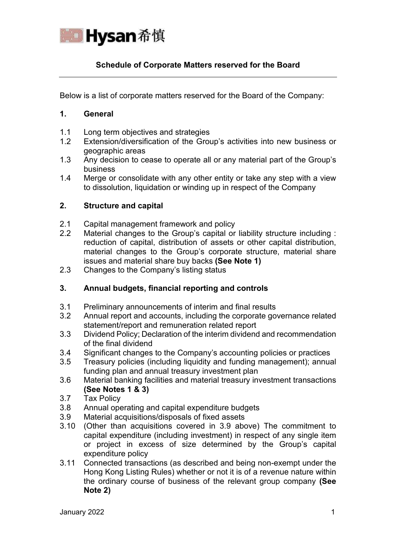

# **Schedule of Corporate Matters reserved for the Board**

Below is a list of corporate matters reserved for the Board of the Company:

#### **1. General**

- 1.1 Long term objectives and strategies
- 1.2 Extension/diversification of the Group's activities into new business or geographic areas
- 1.3 Any decision to cease to operate all or any material part of the Group's business
- 1.4 Merge or consolidate with any other entity or take any step with a view to dissolution, liquidation or winding up in respect of the Company

### **2. Structure and capital**

- 2.1 Capital management framework and policy
- 2.2 Material changes to the Group's capital or liability structure including : reduction of capital, distribution of assets or other capital distribution, material changes to the Group's corporate structure, material share issues and material share buy backs **(See Note 1)**
- 2.3 Changes to the Company's listing status

# **3. Annual budgets, financial reporting and controls**

- 3.1 Preliminary announcements of interim and final results
- 3.2 Annual report and accounts, including the corporate governance related statement/report and remuneration related report
- 3.3 Dividend Policy; Declaration of the interim dividend and recommendation of the final dividend
- 3.4 Significant changes to the Company's accounting policies or practices
- 3.5 Treasury policies (including liquidity and funding management); annual funding plan and annual treasury investment plan
- 3.6 Material banking facilities and material treasury investment transactions **(See Notes 1 & 3)**
- 3.7 Tax Policy
- 3.8 Annual operating and capital expenditure budgets
- 3.9 Material acquisitions/disposals of fixed assets
- 3.10 (Other than acquisitions covered in 3.9 above) The commitment to capital expenditure (including investment) in respect of any single item or project in excess of size determined by the Group's capital expenditure policy
- 3.11 Connected transactions (as described and being non-exempt under the Hong Kong Listing Rules) whether or not it is of a revenue nature within the ordinary course of business of the relevant group company **(See Note 2)**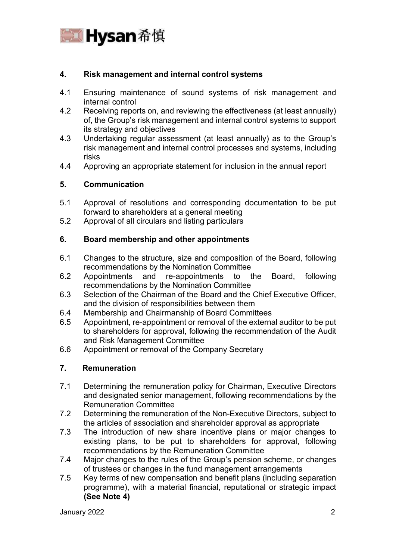

## **4. Risk management and internal control systems**

- 4.1 Ensuring maintenance of sound systems of risk management and internal control
- 4.2 Receiving reports on, and reviewing the effectiveness (at least annually) of, the Group's risk management and internal control systems to support its strategy and objectives
- 4.3 Undertaking regular assessment (at least annually) as to the Group's risk management and internal control processes and systems, including risks
- 4.4 Approving an appropriate statement for inclusion in the annual report

## **5. Communication**

- 5.1 Approval of resolutions and corresponding documentation to be put forward to shareholders at a general meeting
- 5.2 Approval of all circulars and listing particulars

### **6. Board membership and other appointments**

- 6.1 Changes to the structure, size and composition of the Board, following recommendations by the Nomination Committee
- 6.2 Appointments and re-appointments to the Board, following recommendations by the Nomination Committee
- 6.3 Selection of the Chairman of the Board and the Chief Executive Officer, and the division of responsibilities between them
- 6.4 Membership and Chairmanship of Board Committees
- 6.5 Appointment, re-appointment or removal of the external auditor to be put to shareholders for approval, following the recommendation of the Audit and Risk Management Committee
- 6.6 Appointment or removal of the Company Secretary

## **7. Remuneration**

- 7.1 Determining the remuneration policy for Chairman, Executive Directors and designated senior management, following recommendations by the Remuneration Committee
- 7.2 Determining the remuneration of the Non-Executive Directors, subject to the articles of association and shareholder approval as appropriate
- 7.3 The introduction of new share incentive plans or major changes to existing plans, to be put to shareholders for approval, following recommendations by the Remuneration Committee
- 7.4 Major changes to the rules of the Group's pension scheme, or changes of trustees or changes in the fund management arrangements
- 7.5 Key terms of new compensation and benefit plans (including separation programme), with a material financial, reputational or strategic impact **(See Note 4)**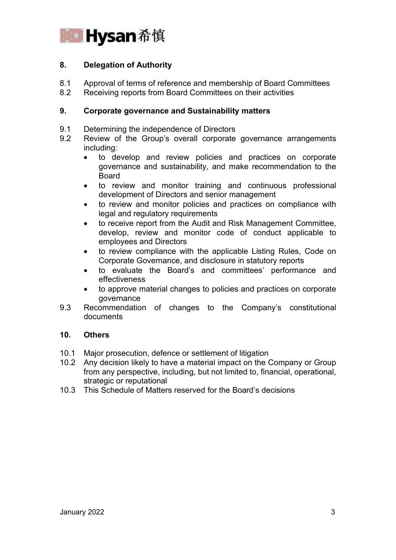

# **8. Delegation of Authority**

- 8.1 Approval of terms of reference and membership of Board Committees
- 8.2 Receiving reports from Board Committees on their activities

## **9. Corporate governance and Sustainability matters**

- 9.1 Determining the independence of Directors
- 9.2 Review of the Group's overall corporate governance arrangements including:
	- to develop and review policies and practices on corporate governance and sustainability, and make recommendation to the Board
	- to review and monitor training and continuous professional development of Directors and senior management
	- to review and monitor policies and practices on compliance with legal and regulatory requirements
	- to receive report from the Audit and Risk Management Committee, develop, review and monitor code of conduct applicable to employees and Directors
	- to review compliance with the applicable Listing Rules, Code on Corporate Governance, and disclosure in statutory reports
	- to evaluate the Board's and committees' performance and effectiveness
	- to approve material changes to policies and practices on corporate governance
- 9.3 Recommendation of changes to the Company's constitutional documents

## **10. Others**

- 10.1 Major prosecution, defence or settlement of litigation
- 10.2 Any decision likely to have a material impact on the Company or Group from any perspective, including, but not limited to, financial, operational, strategic or reputational
- 10.3 This Schedule of Matters reserved for the Board's decisions